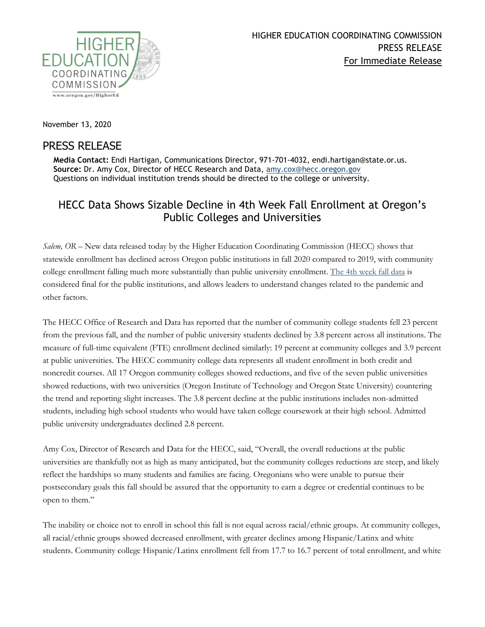

November 13, 2020

## PRESS RELEASE

**Media Contact:** Endi Hartigan, Communications Director, 971-701-4032, endi.hartigan@state.or.us. **Source:** Dr. Amy Cox, Director of HECC Research and Data, [amy.cox@hecc.oregon.gov](mailto:amy.cox@hecc.oregon.gov) Questions on individual institution trends should be directed to the college or university.

## HECC Data Shows Sizable Decline in 4th Week Fall Enrollment at Oregon's Public Colleges and Universities

*Salem, OR* – New data released today by the Higher Education Coordinating Commission (HECC) shows that statewide enrollment has declined across Oregon public institutions in fall 2020 compared to 2019, with community college enrollment falling much more substantially than public university enrollment. [The 4th week fall data](https://www.oregon.gov/highered/research/Documents/Student/Fall%20enrollment%20data.pdf) is considered final for the public institutions, and allows leaders to understand changes related to the pandemic and other factors.

The HECC Office of Research and Data has reported that the number of community college students fell 23 percent from the previous fall, and the number of public university students declined by 3.8 percent across all institutions. The measure of full-time equivalent (FTE) enrollment declined similarly: 19 percent at community colleges and 3.9 percent at public universities. The HECC community college data represents all student enrollment in both credit and noncredit courses. All 17 Oregon community colleges showed reductions, and five of the seven public universities showed reductions, with two universities (Oregon Institute of Technology and Oregon State University) countering the trend and reporting slight increases. The 3.8 percent decline at the public institutions includes non-admitted students, including high school students who would have taken college coursework at their high school. Admitted public university undergraduates declined 2.8 percent.

Amy Cox, Director of Research and Data for the HECC, said, "Overall, the overall reductions at the public universities are thankfully not as high as many anticipated, but the community colleges reductions are steep, and likely reflect the hardships so many students and families are facing. Oregonians who were unable to pursue their postsecondary goals this fall should be assured that the opportunity to earn a degree or credential continues to be open to them."

The inability or choice not to enroll in school this fall is not equal across racial/ethnic groups. At community colleges, all racial/ethnic groups showed decreased enrollment, with greater declines among Hispanic/Latinx and white students. Community college Hispanic/Latinx enrollment fell from 17.7 to 16.7 percent of total enrollment, and white